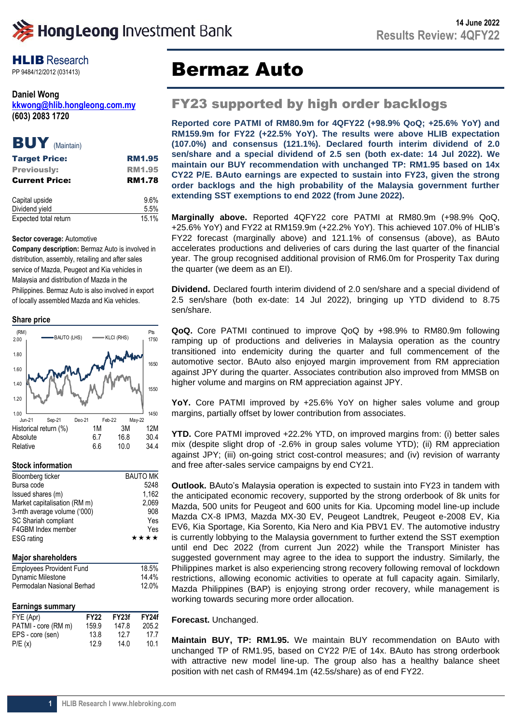**HLIB** Research

**Daniel Wong [kkwong@hlib.hongleong.com.my](mailto:kkwong@hlib.hongleong.com.my) (603) 2083 1720**



| <b>Target Price:</b>  | <b>RM1.95</b> |
|-----------------------|---------------|
| <b>Previously:</b>    | <b>RM1.95</b> |
| <b>Current Price:</b> | <b>RM1.78</b> |
| Capital upside        | 9.6%          |

| Capital upsiut        | J.V /0 |
|-----------------------|--------|
| Dividend yield        | 5.5%   |
| Expected total return | 15.1%  |

## **Sector coverage:** Automotive

**Company description:** Bermaz Auto is involved in distribution, assembly, retailing and after sales service of Mazda, Peugeot and Kia vehicles in Malaysia and distribution of Mazda in the Philippines. Bermaz Auto is also involved in export of locally assembled Mazda and Kia vehicles.

## **Share price**



## **Stock information**

| Bloomberg ticker                |             | <b>BAUTO MK</b> |              |
|---------------------------------|-------------|-----------------|--------------|
| Bursa code                      |             | 5248            |              |
| Issued shares (m)               |             |                 | 1,162        |
| Market capitalisation (RM m)    |             |                 | 2,069        |
| 3-mth average volume ('000)     |             |                 | 908          |
| SC Shariah compliant            |             |                 | Yes          |
| F4GBM Index member              |             |                 | Yes          |
| <b>ESG</b> rating               |             |                 | ****         |
|                                 |             |                 |              |
| Major shareholders              |             |                 |              |
| <b>Employees Provident Fund</b> |             | 18.5%           |              |
| Dynamic Milestone               |             |                 | 14.4%        |
| Permodalan Nasional Berhad      |             |                 | 12.0%        |
|                                 |             |                 |              |
| <b>Earnings summary</b>         |             |                 |              |
| FYE (Apr)                       | <b>FY22</b> | FY23f           | <b>FY24f</b> |
| PATMI - core (RM m)             | 159.9       | 147.8           | 205.2        |
| EPS - core (sen)                | 13.8        | 12.7            | 17.7         |
| P/E(x)                          | 12.9        | 14.0            | 10.1         |

# PP 9484/12/2012 (031413) **Bermaz Auto**

## FY23 supported by high order backlogs

**Reported core PATMI of RM80.9m for 4QFY22 (+98.9% QoQ; +25.6% YoY) and RM159.9m for FY22 (+22.5% YoY). The results were above HLIB expectation (107.0%) and consensus (121.1%). Declared fourth interim dividend of 2.0 sen/share and a special dividend of 2.5 sen (both ex-date: 14 Jul 2022). We maintain our BUY recommendation with unchanged TP: RM1.95 based on 14x CY22 P/E. BAuto earnings are expected to sustain into FY23, given the strong order backlogs and the high probability of the Malaysia government further extending SST exemptions to end 2022 (from June 2022).**

**Marginally above.** Reported 4QFY22 core PATMI at RM80.9m (+98.9% QoQ, +25.6% YoY) and FY22 at RM159.9m (+22.2% YoY). This achieved 107.0% of HLIB's FY22 forecast (marginally above) and 121.1% of consensus (above), as BAuto accelerates productions and deliveries of cars during the last quarter of the financial year. The group recognised additional provision of RM6.0m for Prosperity Tax during the quarter (we deem as an EI).

**Dividend.** Declared fourth interim dividend of 2.0 sen/share and a special dividend of 2.5 sen/share (both ex-date: 14 Jul 2022), bringing up YTD dividend to 8.75 sen/share.

**QoQ.** Core PATMI continued to improve QoQ by +98.9% to RM80.9m following ramping up of productions and deliveries in Malaysia operation as the country transitioned into endemicity during the quarter and full commencement of the automotive sector. BAuto also enjoyed margin improvement from RM appreciation against JPY during the quarter. Associates contribution also improved from MMSB on higher volume and margins on RM appreciation against JPY.

YoY. Core PATMI improved by +25.6% YoY on higher sales volume and group margins, partially offset by lower contribution from associates.

**YTD.** Core PATMI improved +22.2% YTD, on improved margins from: (i) better sales mix (despite slight drop of -2.6% in group sales volume YTD); (ii) RM appreciation against JPY; (iii) on-going strict cost-control measures; and (iv) revision of warranty and free after-sales service campaigns by end CY21.

**Outlook.** BAuto's Malaysia operation is expected to sustain into FY23 in tandem with the anticipated economic recovery, supported by the strong orderbook of 8k units for Mazda, 500 units for Peugeot and 600 units for Kia. Upcoming model line-up include Mazda CX-8 IPM3, Mazda MX-30 EV, Peugeot Landtrek, Peugeot e-2008 EV, Kia EV6, Kia Sportage, Kia Sorento, Kia Nero and Kia PBV1 EV. The automotive industry is currently lobbying to the Malaysia government to further extend the SST exemption until end Dec 2022 (from current Jun 2022) while the Transport Minister has suggested government may agree to the idea to support the industry. Similarly, the Philippines market is also experiencing strong recovery following removal of lockdown restrictions, allowing economic activities to operate at full capacity again. Similarly, Mazda Philippines (BAP) is enjoying strong order recovery, while management is working towards securing more order allocation.

## **Forecast.** Unchanged.

**Maintain BUY, TP: RM1.95.** We maintain BUY recommendation on BAuto with unchanged TP of RM1.95, based on CY22 P/E of 14x. BAuto has strong orderbook with attractive new model line-up. The group also has a healthy balance sheet position with net cash of RM494.1m (42.5s/share) as of end FY22.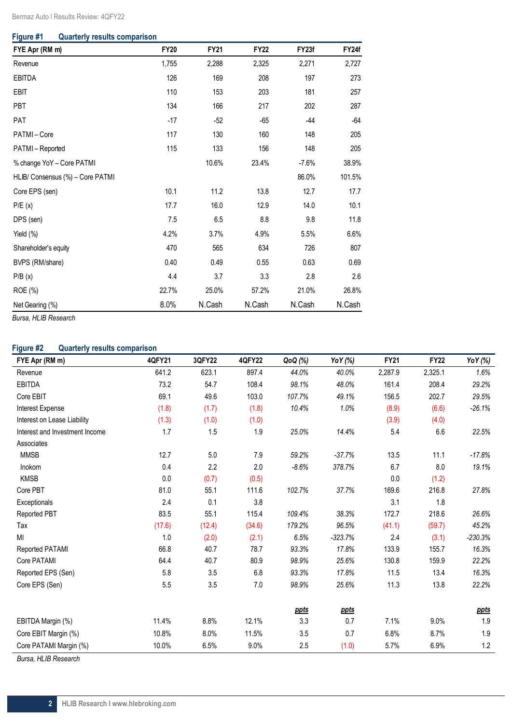## **Figure #1 Quarterly results comparison**

| FYE Apr (RM m)                   | <b>FY20</b> | <b>FY21</b> | <b>FY22</b> | FY23f   | FY24f  |
|----------------------------------|-------------|-------------|-------------|---------|--------|
| Revenue                          | 1,755       | 2,288       | 2,325       | 2,271   | 2,727  |
| <b>EBITDA</b>                    | 126         | 169         | 208         | 197     | 273    |
| EBIT                             | 110         | 153         | 203         | 181     | 257    |
| PBT                              | 134         | 166         | 217         | 202     | 287    |
| PAT                              | $-17$       | $-52$       | $-65$       | $-44$   | $-64$  |
| PATMI-Core                       | 117         | 130         | 160         | 148     | 205    |
| PATMI-Reported                   | 115         | 133         | 156         | 148     | 205    |
| % change YoY - Core PATMI        |             | 10.6%       | 23.4%       | $-7.6%$ | 38.9%  |
| HLIB/ Consensus (%) - Core PATMI |             |             |             | 86.0%   | 101.5% |
| Core EPS (sen)                   | 10.1        | 11.2        | 13.8        | 12.7    | 17.7   |
| P/E(x)                           | 17.7        | 16.0        | 12.9        | 14.0    | 10.1   |
| DPS (sen)                        | 7.5         | 6.5         | 8.8         | 9.8     | 11.8   |
| Yield (%)                        | 4.2%        | 3.7%        | 4.9%        | 5.5%    | 6.6%   |
| Shareholder's equity             | 470         | 565         | 634         | 726     | 807    |
| BVPS (RM/share)                  | 0.40        | 0.49        | 0.55        | 0.63    | 0.69   |
| P/B(x)                           | 4.4         | 3.7         | 3.3         | 2.8     | 2.6    |
| ROE (%)                          | 22.7%       | 25.0%       | 57.2%       | 21.0%   | 26.8%  |
| Net Gearing (%)                  | 8.0%        | N.Cash      | N.Cash      | N.Cash  | N.Cash |

*Bursa, HLIB Research*

## **Figure #2 Quarterly results comparison**

| FYE Apr (RM m)                 | 4QFY21 | 3QFY22 | <b>4QFY22</b> | QoQ (%)     | YoY (%)     | <b>FY21</b> | <b>FY22</b> | Yo Y (%)    |
|--------------------------------|--------|--------|---------------|-------------|-------------|-------------|-------------|-------------|
| Revenue                        | 641.2  | 623.1  | 897.4         | 44.0%       | 40.0%       | 2,287.9     | 2,325.1     | 1.6%        |
| EBITDA                         | 73.2   | 54.7   | 108.4         | 98.1%       | 48.0%       | 161.4       | 208.4       | 29.2%       |
| Core EBIT                      | 69.1   | 49.6   | 103.0         | 107.7%      | 49.1%       | 156.5       | 202.7       | 29.5%       |
| Interest Expense               | (1.8)  | (1.7)  | (1.8)         | 10.4%       | 1.0%        | (8.9)       | (6.6)       | $-26.1%$    |
| Interest on Lease Liability    | (1.3)  | (1.0)  | (1.0)         |             |             | (3.9)       | (4.0)       |             |
| Interest and Investment Income | 1.7    | 1.5    | 1.9           | 25.0%       | 14.4%       | 5.4         | 6.6         | 22.5%       |
| Associates                     |        |        |               |             |             |             |             |             |
| <b>MMSB</b>                    | 12.7   | 5.0    | 7.9           | 59.2%       | $-37.7%$    | 13.5        | 11.1        | $-17.8%$    |
| Inokom                         | 0.4    | 2.2    | 2.0           | $-8.6%$     | 378.7%      | 6.7         | 8.0         | 19.1%       |
| <b>KMSB</b>                    | 0.0    | (0.7)  | (0.5)         |             |             | 0.0         | (1.2)       |             |
| Core PBT                       | 81.0   | 55.1   | 111.6         | 102.7%      | 37.7%       | 169.6       | 216.8       | 27.8%       |
| Exceptionals                   | 2.4    | 0.1    | 3.8           |             |             | 3.1         | 1.8         |             |
| <b>Reported PBT</b>            | 83.5   | 55.1   | 115.4         | 109.4%      | 38.3%       | 172.7       | 218.6       | 26.6%       |
| Tax                            | (17.6) | (12.4) | (34.6)        | 179.2%      | 96.5%       | (41.1)      | (59.7)      | 45.2%       |
| MI                             | 1.0    | (2.0)  | (2.1)         | 6.5%        | $-323.7%$   | 2.4         | (3.1)       | $-230.3%$   |
| Reported PATAMI                | 66.8   | 40.7   | 78.7          | 93.3%       | 17.8%       | 133.9       | 155.7       | 16.3%       |
| Core PATAMI                    | 64.4   | 40.7   | 80.9          | 98.9%       | 25.6%       | 130.8       | 159.9       | 22.2%       |
| Reported EPS (Sen)             | 5.8    | 3.5    | 6.8           | 93.3%       | 17.8%       | 11.5        | 13.4        | 16.3%       |
| Core EPS (Sen)                 | 5.5    | 3.5    | 7.0           | 98.9%       | 25.6%       | 11.3        | 13.8        | 22.2%       |
|                                |        |        |               |             |             |             |             |             |
|                                |        |        |               | <u>ppts</u> | <u>ppts</u> |             |             | <u>ppts</u> |
| EBITDA Margin (%)              | 11.4%  | 8.8%   | 12.1%         | 3.3         | 0.7         | 7.1%        | 9.0%        | $1.9$       |
| Core EBIT Margin (%)           | 10.8%  | 8.0%   | 11.5%         | 3.5         | 0.7         | 6.8%        | 8.7%        | $1.9$       |
| Core PATAMI Margin (%)         | 10.0%  | 6.5%   | 9.0%          | 2.5         | (1.0)       | 5.7%        | 6.9%        | 1.2         |

*Bursa, HLIB Research*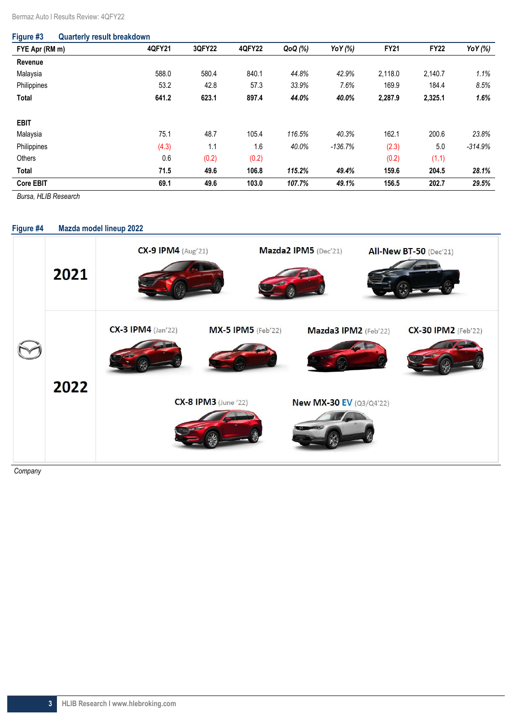| Figure #3        | <b>Quarterly result breakdown</b> |        |               |         |           |             |             |           |
|------------------|-----------------------------------|--------|---------------|---------|-----------|-------------|-------------|-----------|
| FYE Apr (RM m)   | 4QFY21                            | 3QFY22 | <b>4QFY22</b> | QoQ (%) | YoY (%)   | <b>FY21</b> | <b>FY22</b> | Yo Y (%)  |
| Revenue          |                                   |        |               |         |           |             |             |           |
| Malaysia         | 588.0                             | 580.4  | 840.1         | 44.8%   | 42.9%     | 2,118.0     | 2,140.7     | 1.1%      |
| Philippines      | 53.2                              | 42.8   | 57.3          | 33.9%   | 7.6%      | 169.9       | 184.4       | 8.5%      |
| <b>Total</b>     | 641.2                             | 623.1  | 897.4         | 44.0%   | 40.0%     | 2,287.9     | 2,325.1     | 1.6%      |
| <b>EBIT</b>      |                                   |        |               |         |           |             |             |           |
| Malaysia         | 75.1                              | 48.7   | 105.4         | 116.5%  | 40.3%     | 162.1       | 200.6       | 23.8%     |
| Philippines      | (4.3)                             | 1.1    | 1.6           | 40.0%   | $-136.7%$ | (2.3)       | 5.0         | $-314.9%$ |
| <b>Others</b>    | 0.6                               | (0.2)  | (0.2)         |         |           | (0.2)       | (1.1)       |           |
| Total            | 71.5                              | 49.6   | 106.8         | 115.2%  | 49.4%     | 159.6       | 204.5       | 28.1%     |
| <b>Core EBIT</b> | 69.1                              | 49.6   | 103.0         | 107.7%  | 49.1%     | 156.5       | 202.7       | 29.5%     |

*Bursa, HLIB Research* 

## **Figure #4 Mazda model lineup 2022 CX-9 IPM4** (Aug'21) Mazda2 IPM5 (Dec'21) **All-New BT-50 (Dec'21)** 2021 **CX-3 IPM4** (Jan'22) **MX-5 IPM5** (Feb'22) Mazda3 IPM2 (Feb'22) **CX-30 IPM2** (Feb'22) 2022 **CX-8 IPM3** (June '22) New MX-30 EV (Q3/Q4'22)

*Company*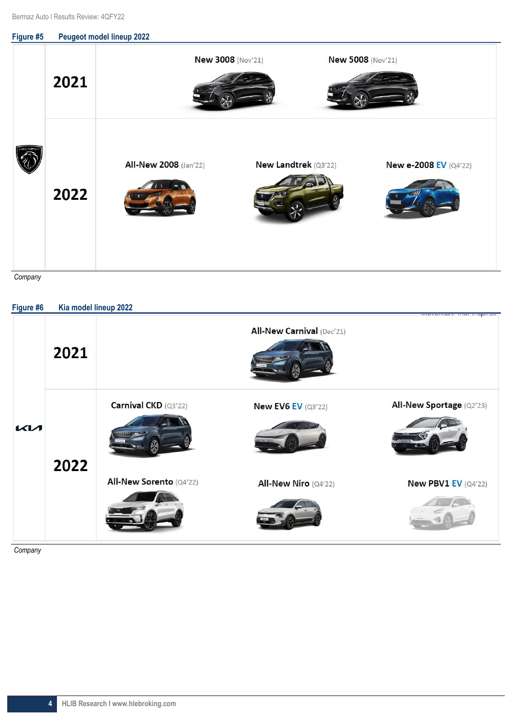

*Company*

| Figure #6 | Kia model lineup 2022 |                         |                                  | EX ENR Y NOT EX ENGL EX  EX INVEST  ENFORCE NONE. |
|-----------|-----------------------|-------------------------|----------------------------------|---------------------------------------------------|
|           | 2021                  |                         | <b>All-New Carnival (Dec'21)</b> |                                                   |
| <b>KM</b> | 2022                  | Carnival CKD (Q3'22)    | <b>New EV6 EV (Q3'22)</b>        | All-New Sportage (Q2'23)                          |
|           |                       | All-New Sorento (Q4'22) | All-New Niro (Q4'22)             | <b>New PBV1 EV (Q4'22)</b>                        |
|           |                       |                         |                                  |                                                   |

*Company*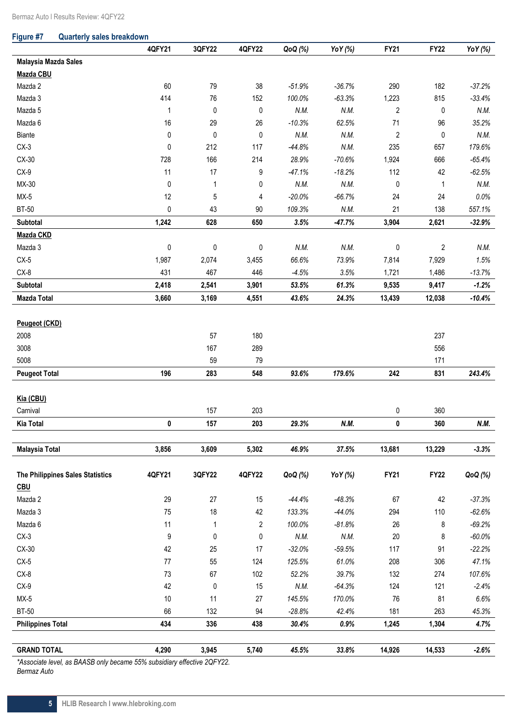| Figure #7 |  | <b>Quarterly sales breakdown</b> |
|-----------|--|----------------------------------|
|           |  |                                  |

|                                  | 4QFY21       | 3QFY22    | <b>4QFY22</b>  | QoQ (%)  | YoY (%)  | <b>FY21</b>    | <b>FY22</b>    | Yo Y (%)  |
|----------------------------------|--------------|-----------|----------------|----------|----------|----------------|----------------|-----------|
| Malaysia Mazda Sales             |              |           |                |          |          |                |                |           |
| Mazda CBU                        |              |           |                |          |          |                |                |           |
| Mazda 2                          | 60           | 79        | 38             | $-51.9%$ | $-36.7%$ | 290            | 182            | $-37.2%$  |
| Mazda 3                          | 414          | 76        | 152            | 100.0%   | $-63.3%$ | 1,223          | 815            | $-33.4%$  |
| Mazda 5                          | $\mathbf{1}$ | 0         | $\pmb{0}$      | N.M.     | N.M.     | $\overline{2}$ | 0              | N.M.      |
| Mazda 6                          | 16           | 29        | 26             | $-10.3%$ | 62.5%    | 71             | 96             | 35.2%     |
| Biante                           | 0            | 0         | $\pmb{0}$      | N.M.     | N.M.     | $\sqrt{2}$     | 0              | N.M.      |
| $CX-3$                           | $\pmb{0}$    | 212       | 117            | $-44.8%$ | N.M.     | 235            | 657            | 179.6%    |
| CX-30                            | 728          | 166       | 214            | 28.9%    | $-70.6%$ | 1,924          | 666            | $-65.4%$  |
| $CX-9$                           | 11           | 17        | 9              | $-47.1%$ | $-18.2%$ | 112            | 42             | $-62.5%$  |
| $MX-30$                          | $\pmb{0}$    | 1         | $\pmb{0}$      | N.M.     | N.M.     | $\pmb{0}$      | $\mathbf{1}$   | N.M.      |
| $MX-5$                           | 12           | 5         | 4              | $-20.0%$ | $-66.7%$ | 24             | 24             | $0.0\%$   |
| <b>BT-50</b>                     | $\pmb{0}$    | 43        | 90             | 109.3%   | N.M.     | 21             | 138            | 557.1%    |
| Subtotal                         | 1,242        | 628       | 650            | 3.5%     | $-47.7%$ | 3,904          | 2,621          | $-32.9%$  |
| Mazda CKD                        |              |           |                |          |          |                |                |           |
| Mazda 3                          | $\pmb{0}$    | $\pmb{0}$ | $\pmb{0}$      | N.M.     | N.M.     | 0              | $\overline{2}$ | N.M.      |
| $CX-5$                           | 1,987        | 2,074     | 3,455          | 66.6%    | 73.9%    | 7,814          | 7,929          | 1.5%      |
| $CX-8$                           | 431          | 467       | 446            | $-4.5%$  | 3.5%     | 1,721          | 1,486          | $-13.7%$  |
| Subtotal                         | 2,418        | 2,541     | 3,901          | 53.5%    | 61.3%    | 9,535          | 9,417          | $-1.2%$   |
| <b>Mazda Total</b>               | 3,660        | 3,169     | 4,551          | 43.6%    | 24.3%    | 13,439         | 12,038         | $-10.4%$  |
|                                  |              |           |                |          |          |                |                |           |
| Peugeot (CKD)                    |              |           |                |          |          |                |                |           |
| 2008                             |              | 57        | 180            |          |          |                | 237            |           |
| 3008                             |              | 167       | 289            |          |          |                | 556            |           |
| 5008                             |              | 59        | 79             |          |          |                | 171            |           |
| <b>Peugeot Total</b>             | 196          | 283       | 548            | 93.6%    | 179.6%   | 242            | 831            | 243.4%    |
|                                  |              |           |                |          |          |                |                |           |
| Kia (CBU)                        |              |           |                |          |          |                |                |           |
| Carnival                         |              | 157       | 203            |          |          | 0              | 360            |           |
| <b>Kia Total</b>                 | 0            | 157       | 203            | 29.3%    | N.M.     | 0              | 360            | N.M.      |
|                                  |              |           |                |          |          |                |                |           |
| <b>Malaysia Total</b>            | 3,856        | 3,609     | 5,302          | 46.9%    | 37.5%    | 13,681         | 13,229         | $-3.3%$   |
| The Philippines Sales Statistics | 4QFY21       |           |                |          |          | <b>FY21</b>    | <b>FY22</b>    |           |
|                                  |              | 3QFY22    | <b>4QFY22</b>  | QoQ (%)  | YoY (%)  |                |                | QoQ (%)   |
| <b>CBU</b><br>Mazda 2            | 29           | 27        | 15             | $-44.4%$ | $-48.3%$ | 67             | 42             | $-37.3%$  |
| Mazda 3                          | 75           | 18        | 42             | 133.3%   | $-44.0%$ | 294            | 110            | $-62.6%$  |
| Mazda 6                          | 11           | 1         | $\overline{c}$ | 100.0%   | $-81.8%$ | 26             | 8              | $-69.2%$  |
| $CX-3$                           | 9            | 0         | 0              | N.M.     | N.M.     | 20             | 8              | $-60.0\%$ |
| CX-30                            | 42           | 25        | 17             | $-32.0%$ | $-59.5%$ | 117            | 91             | $-22.2%$  |
| $CX-5$                           | $77 \,$      | 55        | 124            | 125.5%   | 61.0%    | 208            | 306            | 47.1%     |
| $CX-8$                           | 73           | 67        | 102            | 52.2%    | 39.7%    | 132            | 274            | 107.6%    |
| $CX-9$                           | 42           | $\pmb{0}$ | 15             | N.M.     | $-64.3%$ | 124            | 121            | $-2.4%$   |
| $MX-5$                           | 10           | 11        | 27             | 145.5%   | 170.0%   | 76             | 81             | $6.6\%$   |
| <b>BT-50</b>                     | 66           | 132       | 94             | $-28.8%$ | 42.4%    | 181            | 263            | 45.3%     |
| <b>Philippines Total</b>         | 434          | 336       | 438            | 30.4%    | $0.9\%$  | 1,245          | 1,304          | 4.7%      |
|                                  |              |           |                |          |          |                |                |           |
| <b>GRAND TOTAL</b>               | 4,290        | 3,945     | 5,740          | 45.5%    | 33.8%    | 14,926         | 14,533         | $-2.6%$   |

*\*Associate level, as BAASB only became 55% subsidiary effective 2QFY22. Bermaz Auto*